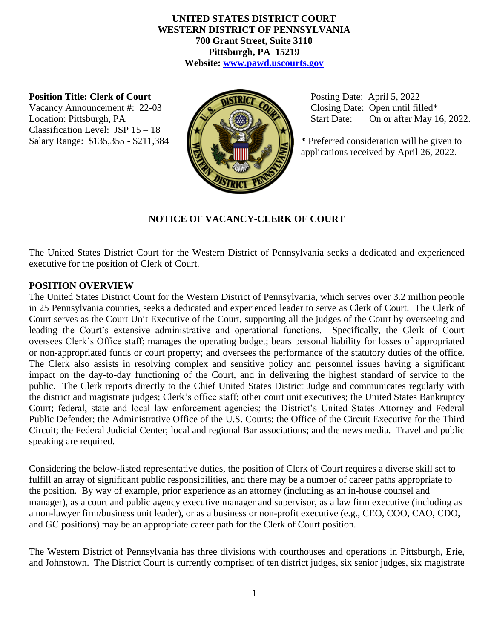### **UNITED STATES DISTRICT COURT WESTERN DISTRICT OF PENNSYLVANIA 700 Grant Street, Suite 3110 Pittsburgh, PA 15219 Website: [www.pawd.uscourts.gov](http://www.pawd.uscourts.gov/)**

#### **Position Title: Clerk of Court**

Vacancy Announcement #: 22-03 Location: Pittsburgh, PA Classification Level: JSP 15 – 18



 Posting Date: April 5, 2022 Closing Date: Open until filled\* Start Date: On or after May 16, 2022.

Salary Range:  $$135,355 - $211,384$   $\blacksquare$   $\blacksquare$  \* Preferred consideration will be given to applications received by April 26, 2022.

### **NOTICE OF VACANCY-CLERK OF COURT**

The United States District Court for the Western District of Pennsylvania seeks a dedicated and experienced executive for the position of Clerk of Court.

### **POSITION OVERVIEW**

The United States District Court for the Western District of Pennsylvania, which serves over 3.2 million people in 25 Pennsylvania counties, seeks a dedicated and experienced leader to serve as Clerk of Court. The Clerk of Court serves as the Court Unit Executive of the Court, supporting all the judges of the Court by overseeing and leading the Court's extensive administrative and operational functions. Specifically, the Clerk of Court oversees Clerk's Office staff; manages the operating budget; bears personal liability for losses of appropriated or non-appropriated funds or court property; and oversees the performance of the statutory duties of the office. The Clerk also assists in resolving complex and sensitive policy and personnel issues having a significant impact on the day-to-day functioning of the Court, and in delivering the highest standard of service to the public. The Clerk reports directly to the Chief United States District Judge and communicates regularly with the district and magistrate judges; Clerk's office staff; other court unit executives; the United States Bankruptcy Court; federal, state and local law enforcement agencies; the District's United States Attorney and Federal Public Defender; the Administrative Office of the U.S. Courts; the Office of the Circuit Executive for the Third Circuit; the Federal Judicial Center; local and regional Bar associations; and the news media. Travel and public speaking are required.

Considering the below-listed representative duties, the position of Clerk of Court requires a diverse skill set to fulfill an array of significant public responsibilities, and there may be a number of career paths appropriate to the position. By way of example, prior experience as an attorney (including as an in-house counsel and manager), as a court and public agency executive manager and supervisor, as a law firm executive (including as a non-lawyer firm/business unit leader), or as a business or non-profit executive (e.g., CEO, COO, CAO, CDO, and GC positions) may be an appropriate career path for the Clerk of Court position.

The Western District of Pennsylvania has three divisions with courthouses and operations in Pittsburgh, Erie, and Johnstown. The District Court is currently comprised of ten district judges, six senior judges, six magistrate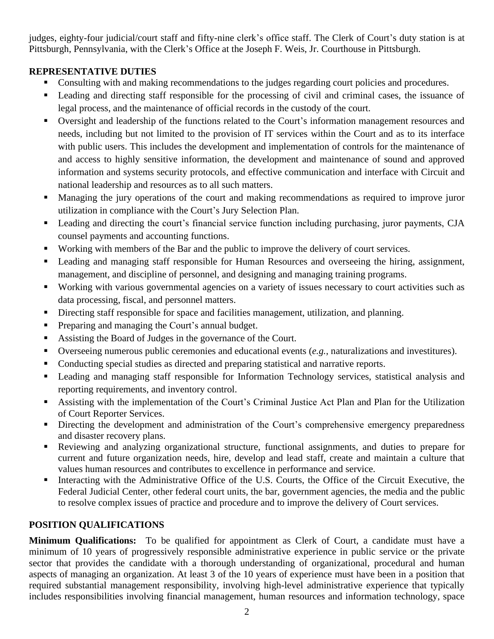judges, eighty-four judicial/court staff and fifty-nine clerk's office staff. The Clerk of Court's duty station is at Pittsburgh, Pennsylvania, with the Clerk's Office at the Joseph F. Weis, Jr. Courthouse in Pittsburgh.

# **REPRESENTATIVE DUTIES**

- Consulting with and making recommendations to the judges regarding court policies and procedures.
- Leading and directing staff responsible for the processing of civil and criminal cases, the issuance of legal process, and the maintenance of official records in the custody of the court.
- Oversight and leadership of the functions related to the Court's information management resources and needs, including but not limited to the provision of IT services within the Court and as to its interface with public users. This includes the development and implementation of controls for the maintenance of and access to highly sensitive information, the development and maintenance of sound and approved information and systems security protocols, and effective communication and interface with Circuit and national leadership and resources as to all such matters.
- Managing the jury operations of the court and making recommendations as required to improve juror utilization in compliance with the Court's Jury Selection Plan.
- Leading and directing the court's financial service function including purchasing, juror payments, CJA counsel payments and accounting functions.
- Working with members of the Bar and the public to improve the delivery of court services.
- Leading and managing staff responsible for Human Resources and overseeing the hiring, assignment, management, and discipline of personnel, and designing and managing training programs.
- Working with various governmental agencies on a variety of issues necessary to court activities such as data processing, fiscal, and personnel matters.
- **•** Directing staff responsible for space and facilities management, utilization, and planning.
- Preparing and managing the Court's annual budget.
- Assisting the Board of Judges in the governance of the Court.
- Overseeing numerous public ceremonies and educational events (*e.g.*, naturalizations and investitures).
- Conducting special studies as directed and preparing statistical and narrative reports.
- Leading and managing staff responsible for Information Technology services, statistical analysis and reporting requirements, and inventory control.
- Assisting with the implementation of the Court's Criminal Justice Act Plan and Plan for the Utilization of Court Reporter Services.
- **EXECUTE:** Directing the development and administration of the Court's comprehensive emergency preparedness and disaster recovery plans.
- Reviewing and analyzing organizational structure, functional assignments, and duties to prepare for current and future organization needs, hire, develop and lead staff, create and maintain a culture that values human resources and contributes to excellence in performance and service.
- Interacting with the Administrative Office of the U.S. Courts, the Office of the Circuit Executive, the Federal Judicial Center, other federal court units, the bar, government agencies, the media and the public to resolve complex issues of practice and procedure and to improve the delivery of Court services.

# **POSITION QUALIFICATIONS**

**Minimum Qualifications:** To be qualified for appointment as Clerk of Court, a candidate must have a minimum of 10 years of progressively responsible administrative experience in public service or the private sector that provides the candidate with a thorough understanding of organizational, procedural and human aspects of managing an organization. At least 3 of the 10 years of experience must have been in a position that required substantial management responsibility, involving high-level administrative experience that typically includes responsibilities involving financial management, human resources and information technology, space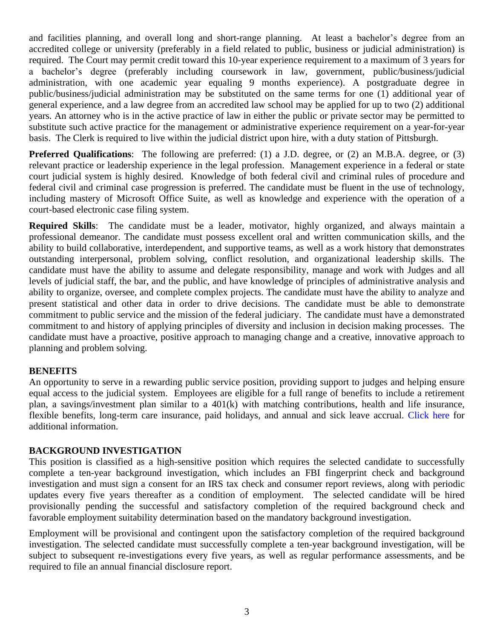and facilities planning, and overall long and short-range planning. At least a bachelor's degree from an accredited college or university (preferably in a field related to public, business or judicial administration) is required. The Court may permit credit toward this 10-year experience requirement to a maximum of 3 years for a bachelor's degree (preferably including coursework in law, government, public/business/judicial administration, with one academic year equaling 9 months experience). A postgraduate degree in public/business/judicial administration may be substituted on the same terms for one (1) additional year of general experience, and a law degree from an accredited law school may be applied for up to two (2) additional years. An attorney who is in the active practice of law in either the public or private sector may be permitted to substitute such active practice for the management or administrative experience requirement on a year-for-year basis. The Clerk is required to live within the judicial district upon hire, with a duty station of Pittsburgh.

**Preferred Qualifications**: The following are preferred: (1) a J.D. degree, or (2) an M.B.A. degree, or (3) relevant practice or leadership experience in the legal profession. Management experience in a federal or state court judicial system is highly desired. Knowledge of both federal civil and criminal rules of procedure and federal civil and criminal case progression is preferred. The candidate must be fluent in the use of technology, including mastery of Microsoft Office Suite, as well as knowledge and experience with the operation of a court-based electronic case filing system.

**Required Skills**: The candidate must be a leader, motivator, highly organized, and always maintain a professional demeanor. The candidate must possess excellent oral and written communication skills, and the ability to build collaborative, interdependent, and supportive teams, as well as a work history that demonstrates outstanding interpersonal, problem solving, conflict resolution, and organizational leadership skills. The candidate must have the ability to assume and delegate responsibility, manage and work with Judges and all levels of judicial staff, the bar, and the public, and have knowledge of principles of administrative analysis and ability to organize, oversee, and complete complex projects. The candidate must have the ability to analyze and present statistical and other data in order to drive decisions. The candidate must be able to demonstrate commitment to public service and the mission of the federal judiciary. The candidate must have a demonstrated commitment to and history of applying principles of diversity and inclusion in decision making processes. The candidate must have a proactive, positive approach to managing change and a creative, innovative approach to planning and problem solving.

### **BENEFITS**

An opportunity to serve in a rewarding public service position, providing support to judges and helping ensure equal access to the judicial system. Employees are eligible for a full range of benefits to include a retirement plan, a savings/investment plan similar to a 401(k) with matching contributions, health and life insurance, flexible benefits, long-term care insurance, paid holidays, and annual and sick leave accrual. [Click here](http://www.uscourts.gov/careers/benefits) for additional information.

### **BACKGROUND INVESTIGATION**

This position is classified as a high-sensitive position which requires the selected candidate to successfully complete a ten-year background investigation, which includes an FBI fingerprint check and background investigation and must sign a consent for an IRS tax check and consumer report reviews, along with periodic updates every five years thereafter as a condition of employment. The selected candidate will be hired provisionally pending the successful and satisfactory completion of the required background check and favorable employment suitability determination based on the mandatory background investigation.

Employment will be provisional and contingent upon the satisfactory completion of the required background investigation. The selected candidate must successfully complete a ten-year background investigation, will be subject to subsequent re-investigations every five years, as well as regular performance assessments, and be required to file an annual financial disclosure report.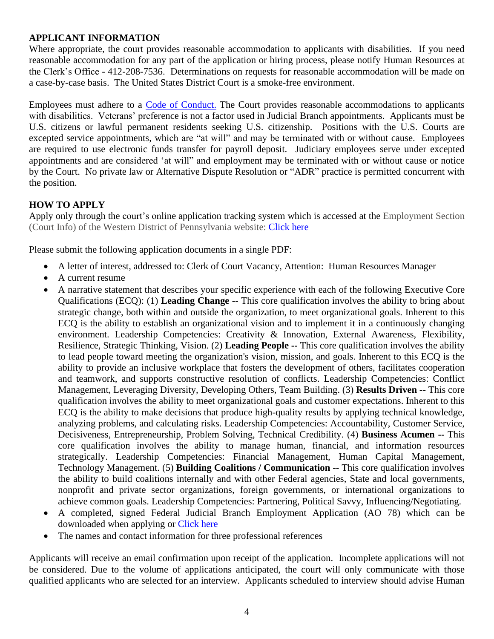## **APPLICANT INFORMATION**

Where appropriate, the court provides reasonable accommodation to applicants with disabilities. If you need reasonable accommodation for any part of the application or hiring process, please notify Human Resources at the Clerk's Office - 412-208-7536. Determinations on requests for reasonable accommodation will be made on a case-by-case basis. The United States District Court is a smoke-free environment.

Employees must adhere to a [Code of Conduct.](http://www.uscourts.gov/rules-policies/judiciary-policies/code-conduct/code-conduct-judicial-employees) The Court provides reasonable accommodations to applicants with disabilities. Veterans' preference is not a factor used in Judicial Branch appointments. Applicants must be U.S. citizens or lawful permanent residents seeking U.S. citizenship. Positions with the U.S. Courts are excepted service appointments, which are "at will" and may be terminated with or without cause. Employees are required to use electronic funds transfer for payroll deposit. Judiciary employees serve under excepted appointments and are considered 'at will" and employment may be terminated with or without cause or notice by the Court. No private law or Alternative Dispute Resolution or "ADR" practice is permitted concurrent with the position.

## **HOW TO APPLY**

Apply only through the court's online application tracking system which is accessed at the Employment Section (Court Info) of the Western District of Pennsylvania website: [Click](https://www.pawd.uscourts.gov/employment) here

Please submit the following application documents in a single PDF:

- A letter of interest, addressed to: Clerk of Court Vacancy, Attention: Human Resources Manager
- A current resume
- A narrative statement that describes your specific experience with each of the following Executive Core Qualifications (ECQ): (1) **Leading Change --** This core qualification involves the ability to bring about strategic change, both within and outside the organization, to meet organizational goals. Inherent to this ECQ is the ability to establish an organizational vision and to implement it in a continuously changing environment. Leadership Competencies: Creativity & Innovation, External Awareness, Flexibility, Resilience, Strategic Thinking, Vision. (2) **Leading People --** This core qualification involves the ability to lead people toward meeting the organization's vision, mission, and goals. Inherent to this ECQ is the ability to provide an inclusive workplace that fosters the development of others, facilitates cooperation and teamwork, and supports constructive resolution of conflicts. Leadership Competencies: Conflict Management, Leveraging Diversity, Developing Others, Team Building. (3) **Results Driven --** This core qualification involves the ability to meet organizational goals and customer expectations. Inherent to this ECQ is the ability to make decisions that produce high-quality results by applying technical knowledge, analyzing problems, and calculating risks. Leadership Competencies: Accountability, Customer Service, Decisiveness, Entrepreneurship, Problem Solving, Technical Credibility. (4) **Business Acumen --** This core qualification involves the ability to manage human, financial, and information resources strategically. Leadership Competencies: Financial Management, Human Capital Management, Technology Management. (5) **Building Coalitions / Communication --** This core qualification involves the ability to build coalitions internally and with other Federal agencies, State and local governments, nonprofit and private sector organizations, foreign governments, or international organizations to achieve common goals. Leadership Competencies: Partnering, Political Savvy, Influencing/Negotiating.
- A completed, signed Federal Judicial Branch Employment Application (AO 78) which can be downloaded when applying or [Click here](http://www.uscourts.gov/forms/human-resources-forms/application-judicial-branch-federal-employment)
- The names and contact information for three professional references

Applicants will receive an email confirmation upon receipt of the application. Incomplete applications will not be considered. Due to the volume of applications anticipated, the court will only communicate with those qualified applicants who are selected for an interview. Applicants scheduled to interview should advise Human